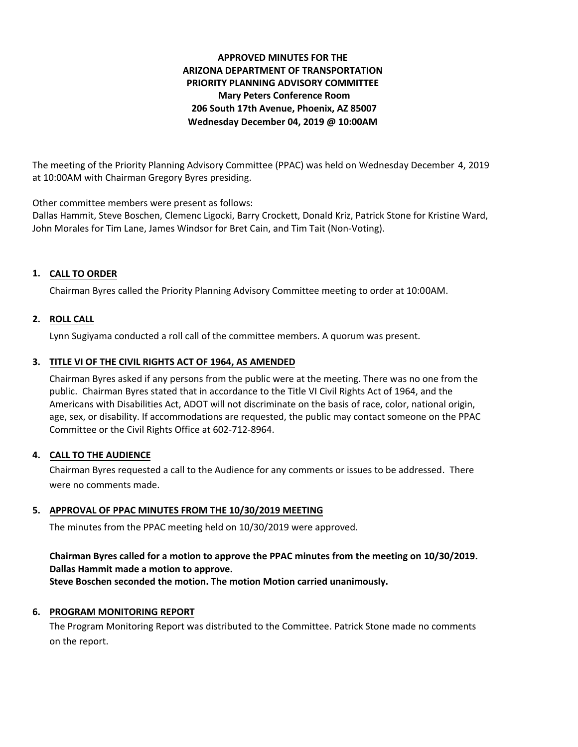# **APPROVED MINUTES FOR THE ARIZONA DEPARTMENT OF TRANSPORTATION PRIORITY PLANNING ADVISORY COMMITTEE Mary Peters Conference Room 206 South 17th Avenue, Phoenix, AZ 85007 Wednesday December 04, 2019 @ 10:00AM**

The meeting of the Priority Planning Advisory Committee (PPAC) was held on Wednesday December 4, 2019 at 10:00AM with Chairman Gregory Byres presiding.

Other committee members were present as follows:

Dallas Hammit, Steve Boschen, Clemenc Ligocki, Barry Crockett, Donald Kriz, Patrick Stone for Kristine Ward, John Morales for Tim Lane, James Windsor for Bret Cain, and Tim Tait (Non-Voting).

## **CALL TO ORDER 1.**

Chairman Byres called the Priority Planning Advisory Committee meeting to order at 10:00AM.

## **ROLL CALL 2.**

Lynn Sugiyama conducted a roll call of the committee members. A quorum was present.

### **TITLE VI OF THE CIVIL RIGHTS ACT OF 1964, AS AMENDED 3.**

Chairman Byres asked if any persons from the public were at the meeting. There was no one from the public. Chairman Byres stated that in accordance to the Title VI Civil Rights Act of 1964, and the Americans with Disabilities Act, ADOT will not discriminate on the basis of race, color, national origin, age, sex, or disability. If accommodations are requested, the public may contact someone on the PPAC Committee or the Civil Rights Office at 602-712-8964.

### **CALL TO THE AUDIENCE 4.**

Chairman Byres requested a call to the Audience for any comments or issues to be addressed. There were no comments made.

### **APPROVAL OF PPAC MINUTES FROM THE 10/30/2019 MEETING 5.**

The minutes from the PPAC meeting held on 10/30/2019 were approved.

## **Chairman Byres called for a motion to approve the PPAC minutes from the meeting on 10/30/2019. Dallas Hammit made a motion to approve.**

**Steve Boschen seconded the motion. The motion Motion carried unanimously.**

### **6. PROGRAM MONITORING REPORT**

The Program Monitoring Report was distributed to the Committee. Patrick Stone made no comments on the report.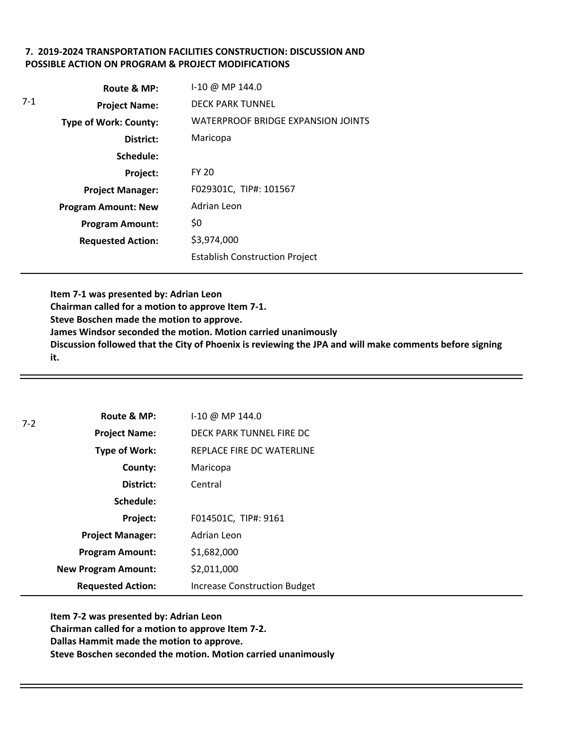## **7. 2019-2024 TRANSPORTATION FACILITIES CONSTRUCTION: DISCUSSION AND POSSIBLE ACTION ON PROGRAM & PROJECT MODIFICATIONS**

|     | Route & MP:                  | $1-10 \ @ \ MP 144.0$                     |
|-----|------------------------------|-------------------------------------------|
| 7-1 | <b>Project Name:</b>         | <b>DECK PARK TUNNEL</b>                   |
|     | <b>Type of Work: County:</b> | <b>WATERPROOF BRIDGE EXPANSION JOINTS</b> |
|     | District:                    | Maricopa                                  |
|     | Schedule:                    |                                           |
|     | Project:                     | <b>FY 20</b>                              |
|     | <b>Project Manager:</b>      | F029301C, TIP#: 101567                    |
|     | <b>Program Amount: New</b>   | Adrian Leon                               |
|     | <b>Program Amount:</b>       | \$0                                       |
|     | <b>Requested Action:</b>     | \$3,974,000                               |
|     |                              | <b>Establish Construction Project</b>     |

**Item 7-1 was presented by: Adrian Leon Chairman called for a motion to approve Item 7-1. Steve Boschen made the motion to approve. James Windsor seconded the motion. Motion carried unanimously Discussion followed that the City of Phoenix is reviewing the JPA and will make comments before signing it.** 

| $7-2$ | Route & MP:                | I-10 @ MP 144.0                     |
|-------|----------------------------|-------------------------------------|
|       | <b>Project Name:</b>       | DECK PARK TUNNEL FIRE DC            |
|       | Type of Work:              | REPLACE FIRE DC WATERLINE           |
|       | County:                    | Maricopa                            |
|       | District:                  | Central                             |
|       | Schedule:                  |                                     |
|       | Project:                   | F014501C, TIP#: 9161                |
|       | <b>Project Manager:</b>    | Adrian Leon                         |
|       | <b>Program Amount:</b>     | \$1,682,000                         |
|       | <b>New Program Amount:</b> | \$2,011,000                         |
|       | <b>Requested Action:</b>   | <b>Increase Construction Budget</b> |

**Item 7-2 was presented by: Adrian Leon Chairman called for a motion to approve Item 7-2. Dallas Hammit made the motion to approve. Steve Boschen seconded the motion. Motion carried unanimously**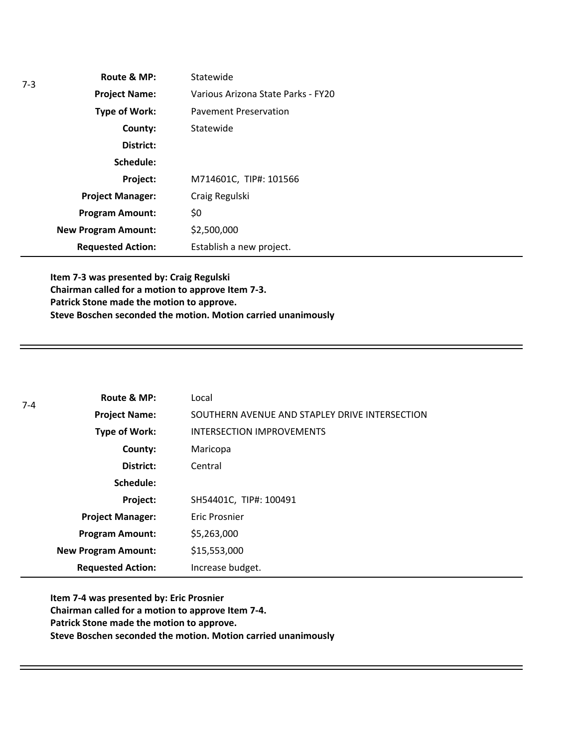| $7-3$ | Route & MP:                | Statewide                          |
|-------|----------------------------|------------------------------------|
|       | <b>Project Name:</b>       | Various Arizona State Parks - FY20 |
|       | Type of Work:              | <b>Pavement Preservation</b>       |
|       | County:                    | Statewide                          |
|       | District:                  |                                    |
|       | Schedule:                  |                                    |
|       | Project:                   | M714601C, TIP#: 101566             |
|       | <b>Project Manager:</b>    | Craig Regulski                     |
|       | <b>Program Amount:</b>     | \$0                                |
|       | <b>New Program Amount:</b> | \$2,500,000                        |
|       | <b>Requested Action:</b>   | Establish a new project.           |

**Item 7-3 was presented by: Craig Regulski Chairman called for a motion to approve Item 7-3. Patrick Stone made the motion to approve. Steve Boschen seconded the motion. Motion carried unanimously**

| $7 - 4$ | Route & MP:                | Local                                          |
|---------|----------------------------|------------------------------------------------|
|         | <b>Project Name:</b>       | SOUTHERN AVENUE AND STAPLEY DRIVE INTERSECTION |
|         | Type of Work:              | <b>INTERSECTION IMPROVEMENTS</b>               |
|         | County:                    | Maricopa                                       |
|         | District:                  | Central                                        |
|         | Schedule:                  |                                                |
|         | Project:                   | SH54401C, TIP#: 100491                         |
|         | <b>Project Manager:</b>    | Eric Prosnier                                  |
|         | <b>Program Amount:</b>     | \$5,263,000                                    |
|         | <b>New Program Amount:</b> | \$15,553,000                                   |
|         | <b>Requested Action:</b>   | Increase budget.                               |

**Item 7-4 was presented by: Eric Prosnier Chairman called for a motion to approve Item 7-4. Patrick Stone made the motion to approve. Steve Boschen seconded the motion. Motion carried unanimously**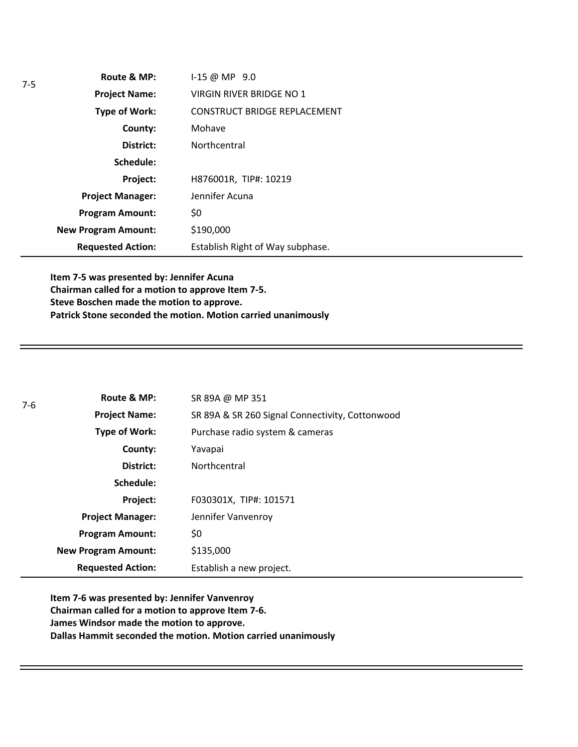| Route & MP:                | $1 - 15 \omega \text{MP}$ 9.0       |
|----------------------------|-------------------------------------|
| <b>Project Name:</b>       | VIRGIN RIVER BRIDGE NO 1            |
| <b>Type of Work:</b>       | <b>CONSTRUCT BRIDGE REPLACEMENT</b> |
| County:                    | Mohave                              |
| District:                  | Northcentral                        |
| Schedule:                  |                                     |
| Project:                   | H876001R, TIP#: 10219               |
| <b>Project Manager:</b>    | Jennifer Acuna                      |
| <b>Program Amount:</b>     | \$0                                 |
| <b>New Program Amount:</b> | \$190,000                           |
| <b>Requested Action:</b>   | Establish Right of Way subphase.    |

**Item 7-5 was presented by: Jennifer Acuna Chairman called for a motion to approve Item 7-5. Steve Boschen made the motion to approve. Patrick Stone seconded the motion. Motion carried unanimously**

| $7-6$ | Route & MP:                | SR 89A @ MP 351                                 |
|-------|----------------------------|-------------------------------------------------|
|       | <b>Project Name:</b>       | SR 89A & SR 260 Signal Connectivity, Cottonwood |
|       | Type of Work:              | Purchase radio system & cameras                 |
|       | County:                    | Yavapai                                         |
|       | District:                  | Northcentral                                    |
|       | Schedule:                  |                                                 |
|       | Project:                   | F030301X, TIP#: 101571                          |
|       | <b>Project Manager:</b>    | Jennifer Vanvenroy                              |
|       | <b>Program Amount:</b>     | \$0                                             |
|       | <b>New Program Amount:</b> | \$135,000                                       |
|       | <b>Requested Action:</b>   | Establish a new project.                        |

**Item 7-6 was presented by: Jennifer Vanvenroy Chairman called for a motion to approve Item 7-6. James Windsor made the motion to approve. Dallas Hammit seconded the motion. Motion carried unanimously**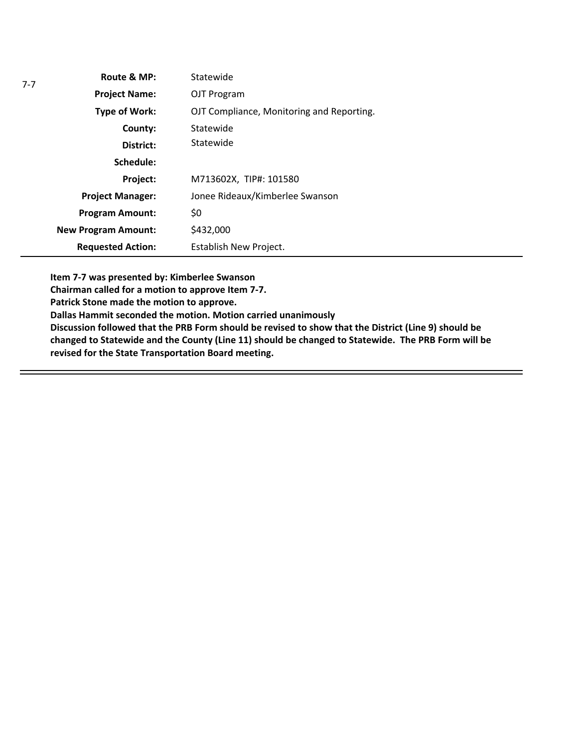| $7 - 7$ | Route & MP:                | Statewide                                 |
|---------|----------------------------|-------------------------------------------|
|         | <b>Project Name:</b>       | OJT Program                               |
|         | <b>Type of Work:</b>       | OJT Compliance, Monitoring and Reporting. |
|         | County:                    | Statewide                                 |
|         | District:                  | Statewide                                 |
|         | Schedule:                  |                                           |
|         | Project:                   | M713602X, TIP#: 101580                    |
|         | <b>Project Manager:</b>    | Jonee Rideaux/Kimberlee Swanson           |
|         | <b>Program Amount:</b>     | \$0                                       |
|         | <b>New Program Amount:</b> | \$432,000                                 |
|         | <b>Requested Action:</b>   | Establish New Project.                    |

**Item 7-7 was presented by: Kimberlee Swanson**

**Chairman called for a motion to approve Item 7-7.**

**Patrick Stone made the motion to approve.**

**Dallas Hammit seconded the motion. Motion carried unanimously**

**Discussion followed that the PRB Form should be revised to show that the District (Line 9) should be changed to Statewide and the County (Line 11) should be changed to Statewide. The PRB Form will be revised for the State Transportation Board meeting.**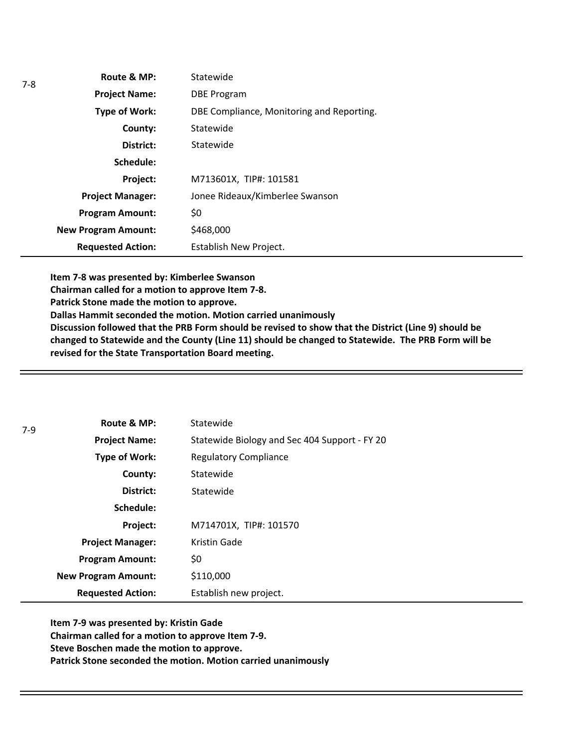| Route & MP:                | Statewide                                 |
|----------------------------|-------------------------------------------|
| <b>Project Name:</b>       | <b>DBE Program</b>                        |
| Type of Work:              | DBE Compliance, Monitoring and Reporting. |
| County:                    | Statewide                                 |
| District:                  | Statewide                                 |
| Schedule:                  |                                           |
| Project:                   | M713601X, TIP#: 101581                    |
| <b>Project Manager:</b>    | Jonee Rideaux/Kimberlee Swanson           |
| <b>Program Amount:</b>     | \$0                                       |
| <b>New Program Amount:</b> | \$468,000                                 |
| <b>Requested Action:</b>   | Establish New Project.                    |

**Item 7-8 was presented by: Kimberlee Swanson**

**Chairman called for a motion to approve Item 7-8.**

**Patrick Stone made the motion to approve.**

7-8

**Dallas Hammit seconded the motion. Motion carried unanimously**

**Discussion followed that the PRB Form should be revised to show that the District (Line 9) should be changed to Statewide and the County (Line 11) should be changed to Statewide. The PRB Form will be revised for the State Transportation Board meeting.** 

| $7-9$ | Route & MP:                | Statewide                                     |
|-------|----------------------------|-----------------------------------------------|
|       | <b>Project Name:</b>       | Statewide Biology and Sec 404 Support - FY 20 |
|       | Type of Work:              | <b>Regulatory Compliance</b>                  |
|       | County:                    | Statewide                                     |
|       | District:                  | Statewide                                     |
|       | Schedule:                  |                                               |
|       | Project:                   | M714701X, TIP#: 101570                        |
|       | <b>Project Manager:</b>    | Kristin Gade                                  |
|       | <b>Program Amount:</b>     | \$0                                           |
|       | <b>New Program Amount:</b> | \$110,000                                     |
|       | <b>Requested Action:</b>   | Establish new project.                        |

**Item 7-9 was presented by: Kristin Gade Chairman called for a motion to approve Item 7-9. Steve Boschen made the motion to approve. Patrick Stone seconded the motion. Motion carried unanimously**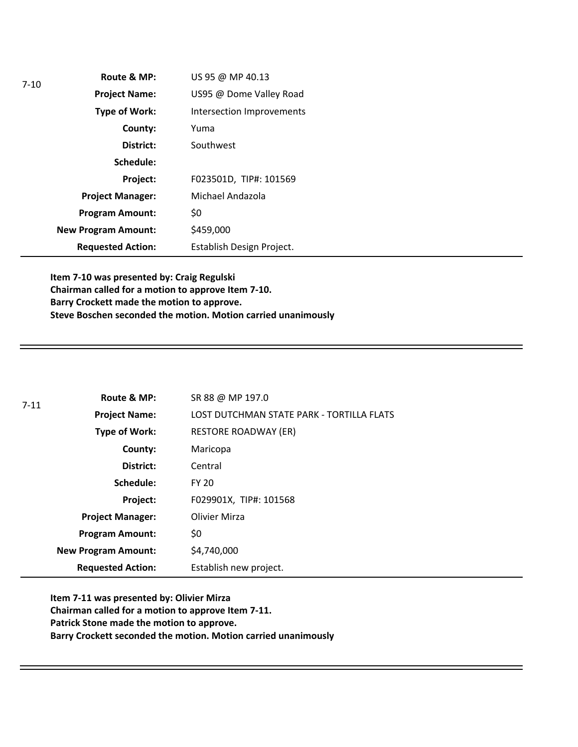| $7-10$ | Route & MP:                | US 95 @ MP 40.13          |
|--------|----------------------------|---------------------------|
|        | <b>Project Name:</b>       | US95 @ Dome Valley Road   |
|        | <b>Type of Work:</b>       | Intersection Improvements |
|        | County:                    | Yuma                      |
|        | District:                  | Southwest                 |
|        | Schedule:                  |                           |
|        | Project:                   | F023501D, TIP#: 101569    |
|        | <b>Project Manager:</b>    | Michael Andazola          |
|        | <b>Program Amount:</b>     | \$0                       |
|        | <b>New Program Amount:</b> | \$459,000                 |
|        | <b>Requested Action:</b>   | Establish Design Project. |

**Item 7-10 was presented by: Craig Regulski Chairman called for a motion to approve Item 7-10. Barry Crockett made the motion to approve. Steve Boschen seconded the motion. Motion carried unanimously**

| $7 - 11$ | Route & MP:                | SR 88 @ MP 197.0                          |
|----------|----------------------------|-------------------------------------------|
|          | <b>Project Name:</b>       | LOST DUTCHMAN STATE PARK - TORTILLA FLATS |
|          | Type of Work:              | <b>RESTORE ROADWAY (ER)</b>               |
|          | County:                    | Maricopa                                  |
|          | District:                  | Central                                   |
|          | Schedule:                  | <b>FY 20</b>                              |
|          | Project:                   | F029901X, TIP#: 101568                    |
|          | <b>Project Manager:</b>    | Olivier Mirza                             |
|          | <b>Program Amount:</b>     | \$0                                       |
|          | <b>New Program Amount:</b> | \$4,740,000                               |
|          | <b>Requested Action:</b>   | Establish new project.                    |

**Item 7-11 was presented by: Olivier Mirza Chairman called for a motion to approve Item 7-11. Patrick Stone made the motion to approve. Barry Crockett seconded the motion. Motion carried unanimously**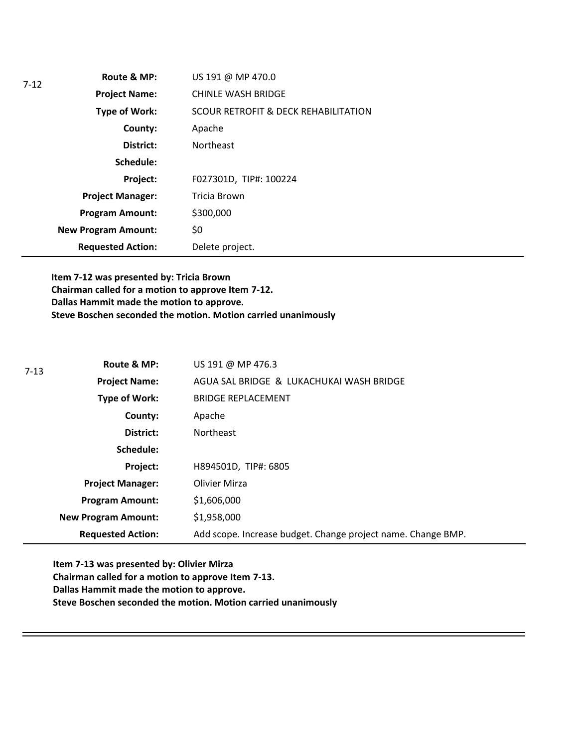| 7-12 | Route & MP:                | US 191 @ MP 470.0                               |
|------|----------------------------|-------------------------------------------------|
|      | <b>Project Name:</b>       | <b>CHINLE WASH BRIDGE</b>                       |
|      | <b>Type of Work:</b>       | <b>SCOUR RETROFIT &amp; DECK REHABILITATION</b> |
|      | County:                    | Apache                                          |
|      | District:                  | <b>Northeast</b>                                |
|      | Schedule:                  |                                                 |
|      | Project:                   | F027301D, TIP#: 100224                          |
|      | <b>Project Manager:</b>    | Tricia Brown                                    |
|      | <b>Program Amount:</b>     | \$300,000                                       |
|      | <b>New Program Amount:</b> | \$0                                             |
|      | <b>Requested Action:</b>   | Delete project.                                 |

**Item 7-12 was presented by: Tricia Brown Chairman called for a motion to approve Item 7-12. Dallas Hammit made the motion to approve. Steve Boschen seconded the motion. Motion carried unanimously**

| $7 - 13$ | Route & MP:                | US 191 @ MP 476.3                                            |
|----------|----------------------------|--------------------------------------------------------------|
|          | <b>Project Name:</b>       | AGUA SAL BRIDGE & LUKACHUKAI WASH BRIDGE                     |
|          | Type of Work:              | <b>BRIDGE REPLACEMENT</b>                                    |
|          | County:                    | Apache                                                       |
|          | District:                  | <b>Northeast</b>                                             |
|          | Schedule:                  |                                                              |
|          | Project:                   | H894501D, TIP#: 6805                                         |
|          | <b>Project Manager:</b>    | <b>Olivier Mirza</b>                                         |
|          | <b>Program Amount:</b>     | \$1,606,000                                                  |
|          | <b>New Program Amount:</b> | \$1,958,000                                                  |
|          | <b>Requested Action:</b>   | Add scope. Increase budget. Change project name. Change BMP. |

**Item 7-13 was presented by: Olivier Mirza Chairman called for a motion to approve Item 7-13. Dallas Hammit made the motion to approve. Steve Boschen seconded the motion. Motion carried unanimously**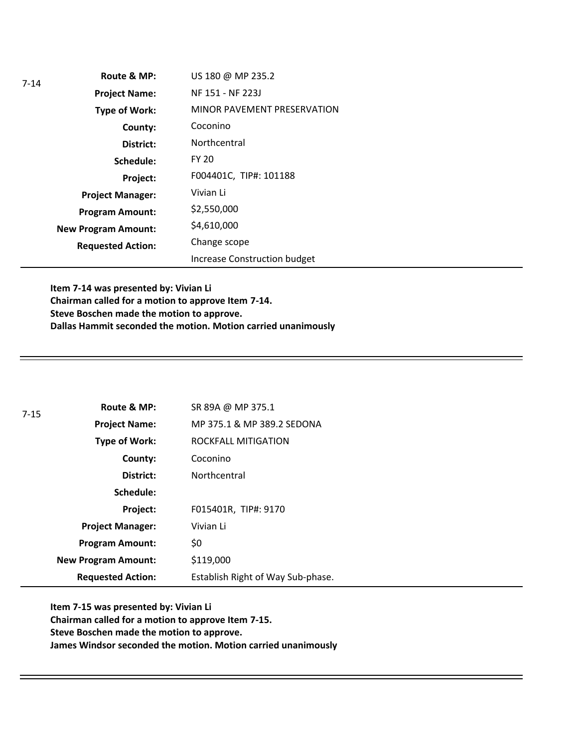| 7-14 | Route & MP:                | US 180 @ MP 235.2                   |
|------|----------------------------|-------------------------------------|
|      | <b>Project Name:</b>       | NF 151 - NF 223J                    |
|      | <b>Type of Work:</b>       | MINOR PAVEMENT PRESERVATION         |
|      | County:                    | Coconino                            |
|      | District:                  | Northcentral                        |
|      | Schedule:                  | <b>FY 20</b>                        |
|      | Project:                   | F004401C, TIP#: 101188              |
|      | <b>Project Manager:</b>    | Vivian Li                           |
|      | <b>Program Amount:</b>     | \$2,550,000                         |
|      | <b>New Program Amount:</b> | \$4,610,000                         |
|      | <b>Requested Action:</b>   | Change scope                        |
|      |                            | <b>Increase Construction budget</b> |

**Item 7-14 was presented by: Vivian Li Chairman called for a motion to approve Item 7-14. Steve Boschen made the motion to approve. Dallas Hammit seconded the motion. Motion carried unanimously**

| $7 - 15$ | Route & MP:                | SR 89A @ MP 375.1                 |
|----------|----------------------------|-----------------------------------|
|          | <b>Project Name:</b>       | MP 375.1 & MP 389.2 SEDONA        |
|          | Type of Work:              | ROCKFALL MITIGATION               |
|          | County:                    | Coconino                          |
|          | District:                  | Northcentral                      |
|          | Schedule:                  |                                   |
|          | Project:                   | F015401R, TIP#: 9170              |
|          | <b>Project Manager:</b>    | Vivian Li                         |
|          | <b>Program Amount:</b>     | \$0                               |
|          | <b>New Program Amount:</b> | \$119,000                         |
|          | <b>Requested Action:</b>   | Establish Right of Way Sub-phase. |

**Item 7-15 was presented by: Vivian Li Chairman called for a motion to approve Item 7-15. Steve Boschen made the motion to approve. James Windsor seconded the motion. Motion carried unanimously**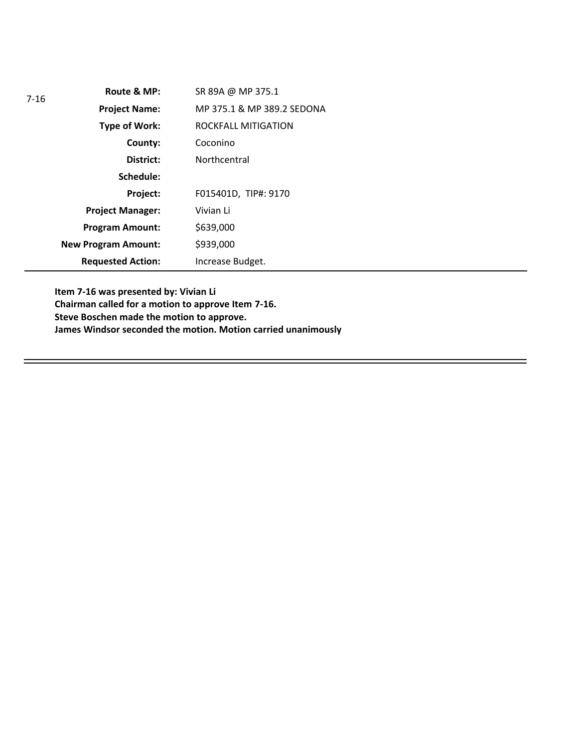| $7 - 16$ | Route & MP:                | SR 89A @ MP 375.1          |
|----------|----------------------------|----------------------------|
|          | <b>Project Name:</b>       | MP 375.1 & MP 389.2 SEDONA |
|          | Type of Work:              | ROCKFALL MITIGATION        |
|          | County:                    | Coconino                   |
|          | District:                  | Northcentral               |
|          | Schedule:                  |                            |
|          | Project:                   | F015401D, TIP#: 9170       |
|          | <b>Project Manager:</b>    | Vivian Li                  |
|          | <b>Program Amount:</b>     | \$639,000                  |
|          | <b>New Program Amount:</b> | \$939,000                  |
|          | <b>Requested Action:</b>   | Increase Budget.           |

**Item 7-16 was presented by: Vivian Li Chairman called for a motion to approve Item 7-16. Steve Boschen made the motion to approve. James Windsor seconded the motion. Motion carried unanimously**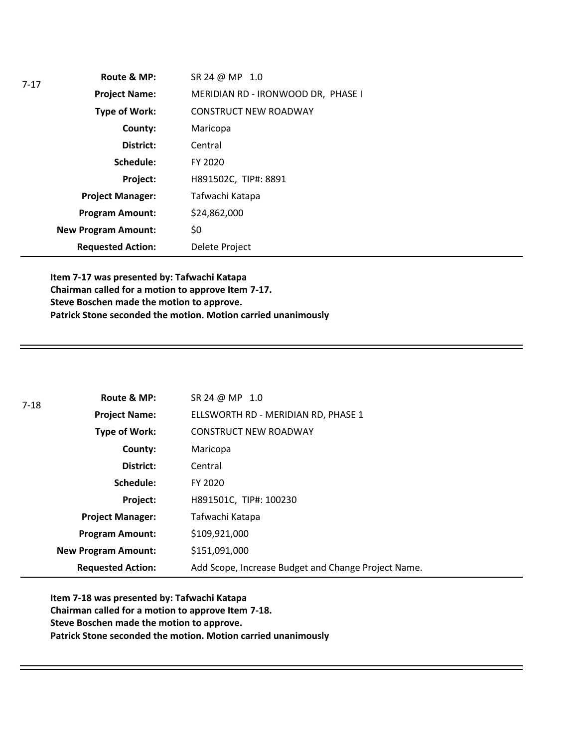| 7-17 | Route & MP:                | SR 24 @ MP 1.0                     |
|------|----------------------------|------------------------------------|
|      | <b>Project Name:</b>       | MERIDIAN RD - IRONWOOD DR, PHASE I |
|      | Type of Work:              | <b>CONSTRUCT NEW ROADWAY</b>       |
|      | County:                    | Maricopa                           |
|      | District:                  | Central                            |
|      | Schedule:                  | FY 2020                            |
|      | Project:                   | H891502C, TIP#: 8891               |
|      | <b>Project Manager:</b>    | Tafwachi Katapa                    |
|      | <b>Program Amount:</b>     | \$24,862,000                       |
|      | <b>New Program Amount:</b> | \$0                                |
|      | <b>Requested Action:</b>   | Delete Project                     |

**Item 7-17 was presented by: Tafwachi Katapa Chairman called for a motion to approve Item 7-17. Steve Boschen made the motion to approve. Patrick Stone seconded the motion. Motion carried unanimously**

| 7-18 | Route & MP:                | SR 24 @ MP 1.0                                      |
|------|----------------------------|-----------------------------------------------------|
|      | <b>Project Name:</b>       | ELLSWORTH RD - MERIDIAN RD, PHASE 1                 |
|      | Type of Work:              | <b>CONSTRUCT NEW ROADWAY</b>                        |
|      | County:                    | Maricopa                                            |
|      | District:                  | Central                                             |
|      | Schedule:                  | FY 2020                                             |
|      | Project:                   | H891501C, TIP#: 100230                              |
|      | <b>Project Manager:</b>    | Tafwachi Katapa                                     |
|      | <b>Program Amount:</b>     | \$109,921,000                                       |
|      | <b>New Program Amount:</b> | \$151,091,000                                       |
|      | <b>Requested Action:</b>   | Add Scope, Increase Budget and Change Project Name. |

**Item 7-18 was presented by: Tafwachi Katapa Chairman called for a motion to approve Item 7-18. Steve Boschen made the motion to approve. Patrick Stone seconded the motion. Motion carried unanimously**